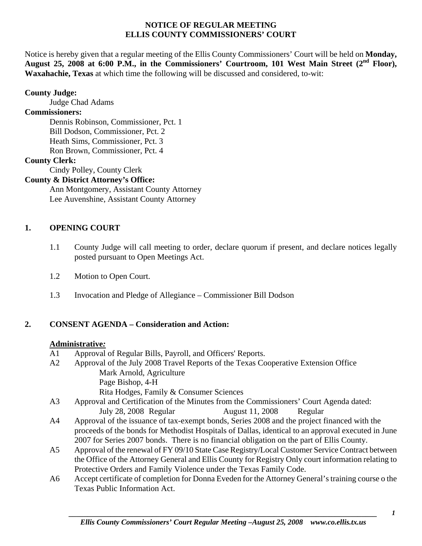#### **NOTICE OF REGULAR MEETING ELLIS COUNTY COMMISSIONERS' COURT**

Notice is hereby given that a regular meeting of the Ellis County Commissioners' Court will be held on **Monday,**  August 25, 2008 at 6:00 P.M., in the Commissioners' Courtroom, 101 West Main Street (2<sup>nd</sup> Floor), **Waxahachie, Texas** at which time the following will be discussed and considered, to-wit:

## **County Judge:**

Judge Chad Adams

### **Commissioners:**

 Dennis Robinson, Commissioner, Pct. 1 Bill Dodson, Commissioner, Pct. 2 Heath Sims, Commissioner, Pct. 3 Ron Brown, Commissioner, Pct. 4

## **County Clerk:**

Cindy Polley, County Clerk

## **County & District Attorney's Office:**

 Ann Montgomery, Assistant County Attorney Lee Auvenshine, Assistant County Attorney

## **1. OPENING COURT**

- 1.1 County Judge will call meeting to order, declare quorum if present, and declare notices legally posted pursuant to Open Meetings Act.
- 1.2 Motion to Open Court.
- 1.3 Invocation and Pledge of Allegiance Commissioner Bill Dodson

# **2. CONSENT AGENDA – Consideration and Action:**

## **Administrative***:*

- A1 Approval of Regular Bills, Payroll, and Officers' Reports.
- A2 Approval of the July 2008 Travel Reports of the Texas Cooperative Extension Office Mark Arnold, Agriculture Page Bishop, 4-H Rita Hodges, Family & Consumer Sciences
- A3 Approval and Certification of the Minutes from the Commissioners' Court Agenda dated: July 28, 2008 Regular August 11, 2008 Regular
- A4 Approval of the issuance of tax-exempt bonds, Series 2008 and the project financed with the proceeds of the bonds for Methodist Hospitals of Dallas, identical to an approval executed in June 2007 for Series 2007 bonds. There is no financial obligation on the part of Ellis County.
- A5 Approval of the renewal of FY 09/10 State Case Registry/Local Customer Service Contract between the Office of the Attorney General and Ellis County for Registry Only court information relating to Protective Orders and Family Violence under the Texas Family Code.
- A6 Accept certificate of completion for Donna Eveden for the Attorney General's training course o the Texas Public Information Act.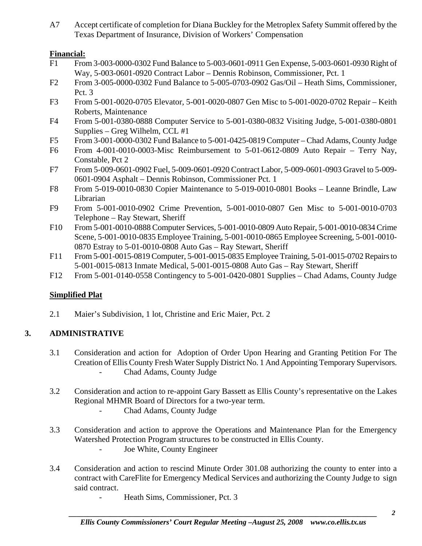A7 Accept certificate of completion for Diana Buckley for the Metroplex Safety Summit offered by the Texas Department of Insurance, Division of Workers' Compensation

## **Financial:**

- F1 From 3-003-0000-0302 Fund Balance to 5-003-0601-0911 Gen Expense, 5-003-0601-0930 Right of Way, 5-003-0601-0920 Contract Labor – Dennis Robinson, Commissioner, Pct. 1
- F2 From 3-005-0000-0302 Fund Balance to 5-005-0703-0902 Gas/Oil Heath Sims, Commissioner, Pct. 3
- F3 From 5-001-0020-0705 Elevator, 5-001-0020-0807 Gen Misc to 5-001-0020-0702 Repair Keith Roberts, Maintenance
- F4 From 5-001-0380-0888 Computer Service to 5-001-0380-0832 Visiting Judge, 5-001-0380-0801 Supplies – Greg Wilhelm, CCL #1
- F5 From 3-001-0000-0302 Fund Balance to 5-001-0425-0819 Computer Chad Adams, County Judge
- F6 From 4-001-0010-0003-Misc Reimbursement to 5-01-0612-0809 Auto Repair Terry Nay, Constable, Pct 2
- F7 From 5-009-0601-0902 Fuel, 5-009-0601-0920 Contract Labor, 5-009-0601-0903 Gravel to 5-009- 0601-0904 Asphalt – Dennis Robinson, Commissioner Pct. 1
- F8 From 5-019-0010-0830 Copier Maintenance to 5-019-0010-0801 Books Leanne Brindle, Law Librarian
- F9 From 5-001-0010-0902 Crime Prevention, 5-001-0010-0807 Gen Misc to 5-001-0010-0703 Telephone – Ray Stewart, Sheriff
- F10 From 5-001-0010-0888 Computer Services, 5-001-0010-0809 Auto Repair, 5-001-0010-0834 Crime Scene, 5-001-0010-0835 Employee Training, 5-001-0010-0865 Employee Screening, 5-001-0010- 0870 Estray to 5-01-0010-0808 Auto Gas – Ray Stewart, Sheriff
- F11 From 5-001-0015-0819 Computer, 5-001-0015-0835 Employee Training, 5-01-0015-0702 Repairs to 5-001-0015-0813 Inmate Medical, 5-001-0015-0808 Auto Gas – Ray Stewart, Sheriff
- F12 From 5-001-0140-0558 Contingency to 5-001-0420-0801 Supplies Chad Adams, County Judge

# **Simplified Plat**

2.1 Maier's Subdivision, 1 lot, Christine and Eric Maier, Pct. 2

# **3. ADMINISTRATIVE**

- 3.1 Consideration and action for Adoption of Order Upon Hearing and Granting Petition For The Creation of Ellis County Fresh Water Supply District No. 1 And Appointing Temporary Supervisors. - Chad Adams, County Judge
- 3.2 Consideration and action to re-appoint Gary Bassett as Ellis County's representative on the Lakes Regional MHMR Board of Directors for a two-year term.
	- Chad Adams, County Judge
- 3.3 Consideration and action to approve the Operations and Maintenance Plan for the Emergency Watershed Protection Program structures to be constructed in Ellis County.
	- Joe White, County Engineer
- 3.4 Consideration and action to rescind Minute Order 301.08 authorizing the county to enter into a contract with CareFlite for Emergency Medical Services and authorizing the County Judge to sign said contract.
	- Heath Sims, Commissioner, Pct. 3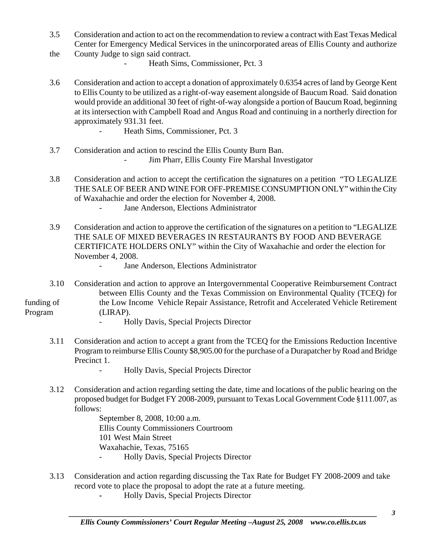- 3.5 Consideration and action to act on the recommendation to review a contract with East Texas Medical Center for Emergency Medical Services in the unincorporated areas of Ellis County and authorize the County Judge to sign said contract.
- Heath Sims, Commissioner, Pct. 3
- 3.6 Consideration and action to accept a donation of approximately 0.6354 acres of land by George Kent to Ellis County to be utilized as a right-of-way easement alongside of Baucum Road. Said donation would provide an additional 30 feet of right-of-way alongside a portion of Baucum Road, beginning at its intersection with Campbell Road and Angus Road and continuing in a northerly direction for approximately 931.31 feet.
	- Heath Sims, Commissioner, Pct. 3
- 3.7 Consideration and action to rescind the Ellis County Burn Ban. Jim Pharr, Ellis County Fire Marshal Investigator
- 3.8 Consideration and action to accept the certification the signatures on a petition "TO LEGALIZE THE SALE OF BEER AND WINE FOR OFF-PREMISE CONSUMPTION ONLY" within the City of Waxahachie and order the election for November 4, 2008.
	- Jane Anderson, Elections Administrator
- 3.9 Consideration and action to approve the certification of the signatures on a petition to "LEGALIZE THE SALE OF MIXED BEVERAGES IN RESTAURANTS BY FOOD AND BEVERAGE CERTIFICATE HOLDERS ONLY" within the City of Waxahachie and order the election for November 4, 2008.
	- Jane Anderson, Elections Administrator
- 3.10 Consideration and action to approve an Intergovernmental Cooperative Reimbursement Contract between Ellis County and the Texas Commission on Environmental Quality (TCEQ) for funding of the Low Income Vehicle Repair Assistance, Retrofit and Accelerated Vehicle Retirement Program (LIRAP).
	-
- Holly Davis, Special Projects Director
- 3.11 Consideration and action to accept a grant from the TCEQ for the Emissions Reduction Incentive Program to reimburse Ellis County \$8,905.00 for the purchase of a Durapatcher by Road and Bridge Precinct 1.
	- Holly Davis, Special Projects Director
- 3.12 Consideration and action regarding setting the date, time and locations of the public hearing on the proposed budget for Budget FY 2008-2009, pursuant to Texas Local Government Code §111.007, as follows:

 September 8, 2008, 10:00 a.m. Ellis County Commissioners Courtroom 101 West Main Street Waxahachie, Texas, 75165 - Holly Davis, Special Projects Director

- 3.13 Consideration and action regarding discussing the Tax Rate for Budget FY 2008-2009 and take record vote to place the proposal to adopt the rate at a future meeting.
	- **Holly Davis, Special Projects Director**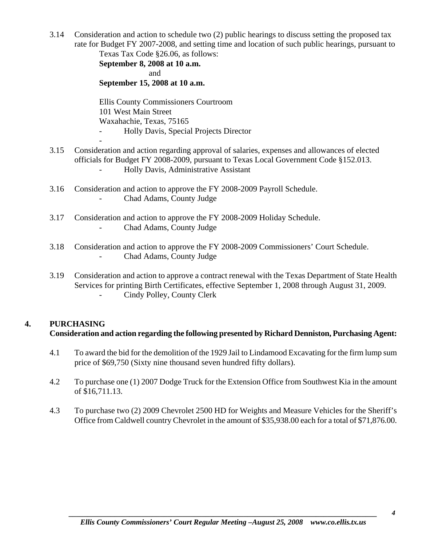3.14 Consideration and action to schedule two (2) public hearings to discuss setting the proposed tax rate for Budget FY 2007-2008, and setting time and location of such public hearings, pursuant to Texas Tax Code §26.06, as follows:

 **September 8, 2008 at 10 a.m. and and September 15, 2008 at 10 a.m.** 

> Ellis County Commissioners Courtroom 101 West Main Street Waxahachie, Texas, 75165 - Holly Davis, Special Projects Director

- 3.15 Consideration and action regarding approval of salaries, expenses and allowances of elected officials for Budget FY 2008-2009, pursuant to Texas Local Government Code §152.013. - Holly Davis, Administrative Assistant
- 3.16 Consideration and action to approve the FY 2008-2009 Payroll Schedule. - Chad Adams, County Judge
- 3.17 Consideration and action to approve the FY 2008-2009 Holiday Schedule. - Chad Adams, County Judge
- 3.18 Consideration and action to approve the FY 2008-2009 Commissioners' Court Schedule. - Chad Adams, County Judge
- 3.19 Consideration and action to approve a contract renewal with the Texas Department of State Health Services for printing Birth Certificates, effective September 1, 2008 through August 31, 2009. Cindy Polley, County Clerk

# **4. PURCHASING Consideration and action regarding the following presented by Richard Denniston, Purchasing Agent:**

- 4.1 To award the bid for the demolition of the 1929 Jail to Lindamood Excavating for the firm lump sum price of \$69,750 (Sixty nine thousand seven hundred fifty dollars).
- 4.2 To purchase one (1) 2007 Dodge Truck for the Extension Office from Southwest Kia in the amount of \$16,711.13.
- 4.3 To purchase two (2) 2009 Chevrolet 2500 HD for Weights and Measure Vehicles for the Sheriff's Office from Caldwell country Chevrolet in the amount of \$35,938.00 each for a total of \$71,876.00.